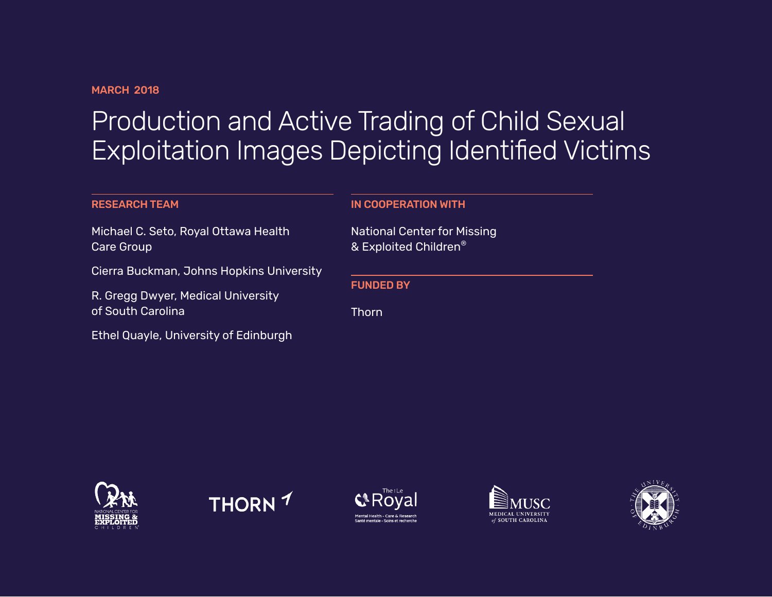#### **MARCH 2018**

# Production and Active Trading of Child Sexual Exploitation Images Depicting Identified Victims

#### RESEARCH TEAM

Michael C. Seto, Royal Ottawa Health Care Group

Cierra Buckman, Johns Hopkins University

R. Gregg Dwyer, Medical University of South Carolina

Ethel Quayle, University of Edinburgh

#### IN COOPERATION WITH

National Center for Missing & Exploited Children®

FUNDED BY

Thorn









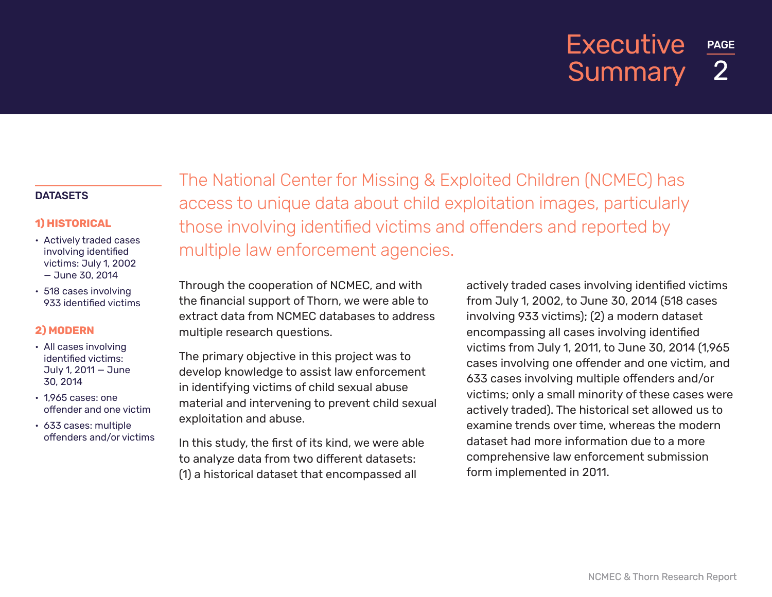## PAGE 2 **Executive Summary**

#### **DATASETS**

#### **1) HISTORICAL**

- Actively traded cases involving identified victims: July 1, 2002 — June 30, 2014
- 518 cases involving 933 identified victims

#### **2) MODERN**

- All cases involving identified victims: July 1, 2011 — June 30, 2014
- 1,965 cases: one offender and one victim
- 633 cases: multiple offenders and/or victims

The National Center for Missing & Exploited Children (NCMEC) has access to unique data about child exploitation images, particularly those involving identified victims and offenders and reported by multiple law enforcement agencies.

Through the cooperation of NCMEC, and with the financial support of Thorn, we were able to extract data from NCMEC databases to address multiple research questions.

The primary objective in this project was to develop knowledge to assist law enforcement in identifying victims of child sexual abuse material and intervening to prevent child sexual exploitation and abuse.

In this study, the first of its kind, we were able to analyze data from two different datasets: (1) a historical dataset that encompassed all

actively traded cases involving identified victims from July 1, 2002, to June 30, 2014 (518 cases involving 933 victims); (2) a modern dataset encompassing all cases involving identified victims from July 1, 2011, to June 30, 2014 (1,965 cases involving one offender and one victim, and 633 cases involving multiple offenders and/or victims; only a small minority of these cases were actively traded). The historical set allowed us to examine trends over time, whereas the modern dataset had more information due to a more comprehensive law enforcement submission form implemented in 2011.